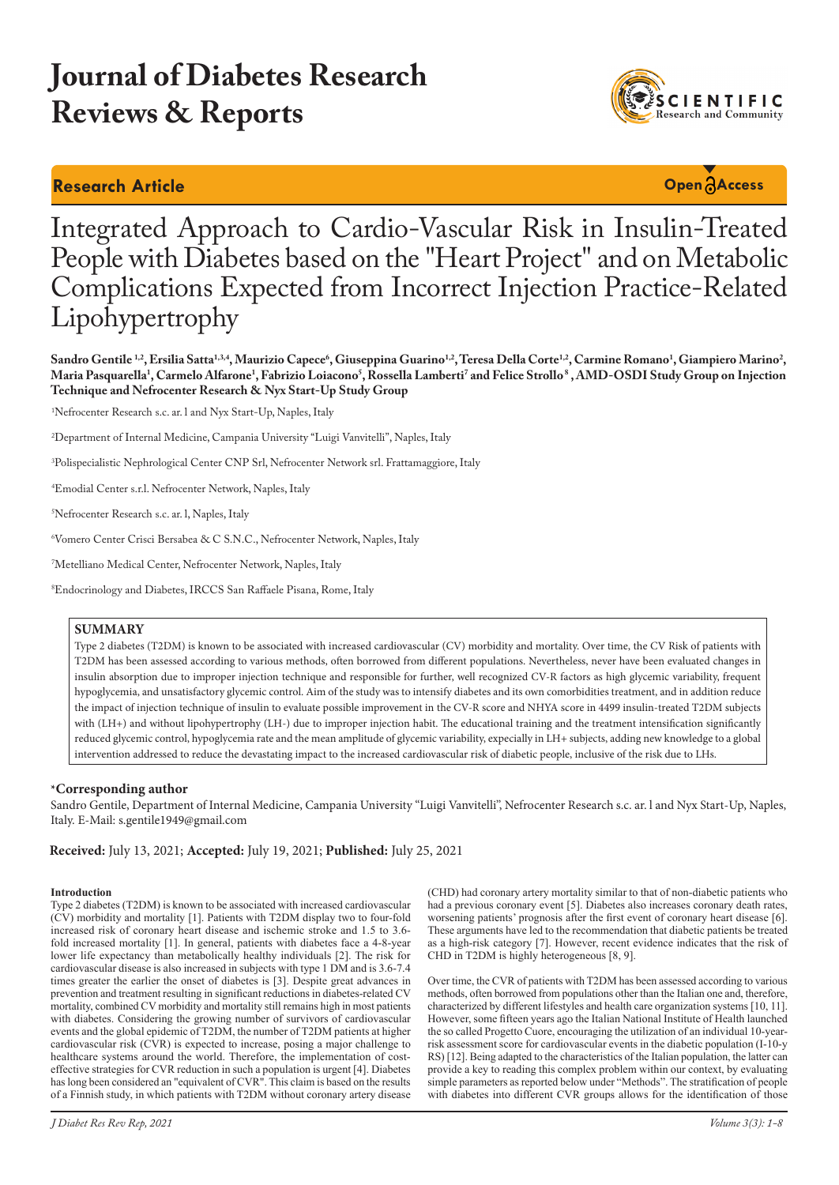# **Journal of Diabetes Research Reviews & Reports**

## **Research Article Open Access**



## Integrated Approach to Cardio-Vascular Risk in Insulin-Treated People with Diabetes based on the "Heart Project" and on Metabolic Complications Expected from Incorrect Injection Practice-Related Lipohypertrophy

**Sandro Gentile 1,2, Ersilia Satta1,3,4, Maurizio Capece6 , Giuseppina Guarino1,2, Teresa Della Corte1,2, Carmine Romano1 , Giampiero Marino2 ,**  Maria Pasquarella<sup>1</sup>, Carmelo Alfarone<sup>1</sup>, Fabrizio Loiacono<sup>s</sup>, Rossella Lamberti<sup>7</sup> and Felice Strollo<sup>s</sup> , AMD-OSDI Study Group on Injection **Technique and Nefrocenter Research & Nyx Start-Up Study Group**

1 Nefrocenter Research s.c. ar. l and Nyx Start-Up, Naples, Italy

2 Department of Internal Medicine, Campania University ''Luigi Vanvitelli'', Naples, Italy

3 Polispecialistic Nephrological Center CNP Srl, Nefrocenter Network srl. Frattamaggiore, Italy

4 Emodial Center s.r.l. Nefrocenter Network, Naples, Italy

5 Nefrocenter Research s.c. ar. l, Naples, Italy

6 Vomero Center Crisci Bersabea & C S.N.C., Nefrocenter Network, Naples, Italy

7 Metelliano Medical Center, Nefrocenter Network, Naples, Italy

8 Endocrinology and Diabetes, IRCCS San Raffaele Pisana, Rome, Italy

#### **SUMMARY**

Type 2 diabetes (T2DM) is known to be associated with increased cardiovascular (CV) morbidity and mortality. Over time, the CV Risk of patients with T2DM has been assessed according to various methods, often borrowed from different populations. Nevertheless, never have been evaluated changes in insulin absorption due to improper injection technique and responsible for further, well recognized CV-R factors as high glycemic variability, frequent hypoglycemia, and unsatisfactory glycemic control. Aim of the study was to intensify diabetes and its own comorbidities treatment, and in addition reduce the impact of injection technique of insulin to evaluate possible improvement in the CV-R score and NHYA score in 4499 insulin-treated T2DM subjects with (LH+) and without lipohypertrophy (LH-) due to improper injection habit. The educational training and the treatment intensification significantly reduced glycemic control, hypoglycemia rate and the mean amplitude of glycemic variability, expecially in LH+ subjects, adding new knowledge to a global intervention addressed to reduce the devastating impact to the increased cardiovascular risk of diabetic people, inclusive of the risk due to LHs.

#### **\*Corresponding author**

Sandro Gentile, Department of Internal Medicine, Campania University ''Luigi Vanvitelli'', Nefrocenter Research s.c. ar. l and Nyx Start-Up, Naples, Italy. E-Mail: s.gentile1949@gmail.com

**Received:** July 13, 2021; **Accepted:** July 19, 2021; **Published:** July 25, 2021

#### **Introduction**

Type 2 diabetes (T2DM) is known to be associated with increased cardiovascular (CV) morbidity and mortality [1]. Patients with T2DM display two to four-fold increased risk of coronary heart disease and ischemic stroke and 1.5 to 3.6 fold increased mortality [1]. In general, patients with diabetes face a 4-8-year lower life expectancy than metabolically healthy individuals [2]. The risk for cardiovascular disease is also increased in subjects with type 1 DM and is 3.6-7.4 times greater the earlier the onset of diabetes is [3]. Despite great advances in prevention and treatment resulting in significant reductions in diabetes-related CV mortality, combined CV morbidity and mortality still remains high in most patients with diabetes. Considering the growing number of survivors of cardiovascular events and the global epidemic of T2DM, the number of T2DM patients at higher cardiovascular risk (CVR) is expected to increase, posing a major challenge to healthcare systems around the world. Therefore, the implementation of costeffective strategies for CVR reduction in such a population is urgent [4]. Diabetes has long been considered an "equivalent of CVR". This claim is based on the results of a Finnish study, in which patients with T2DM without coronary artery disease

(CHD) had coronary artery mortality similar to that of non-diabetic patients who had a previous coronary event [5]. Diabetes also increases coronary death rates, worsening patients' prognosis after the first event of coronary heart disease [6]. These arguments have led to the recommendation that diabetic patients be treated as a high-risk category [7]. However, recent evidence indicates that the risk of CHD in T2DM is highly heterogeneous [8, 9].

Over time, the CVR of patients with T2DM has been assessed according to various methods, often borrowed from populations other than the Italian one and, therefore, characterized by different lifestyles and health care organization systems [10, 11]. However, some fifteen years ago the Italian National Institute of Health launched the so called Progetto Cuore, encouraging the utilization of an individual 10-yearrisk assessment score for cardiovascular events in the diabetic population (I-10-y RS) [12]. Being adapted to the characteristics of the Italian population, the latter can provide a key to reading this complex problem within our context, by evaluating simple parameters as reported below under "Methods". The stratification of people with diabetes into different CVR groups allows for the identification of those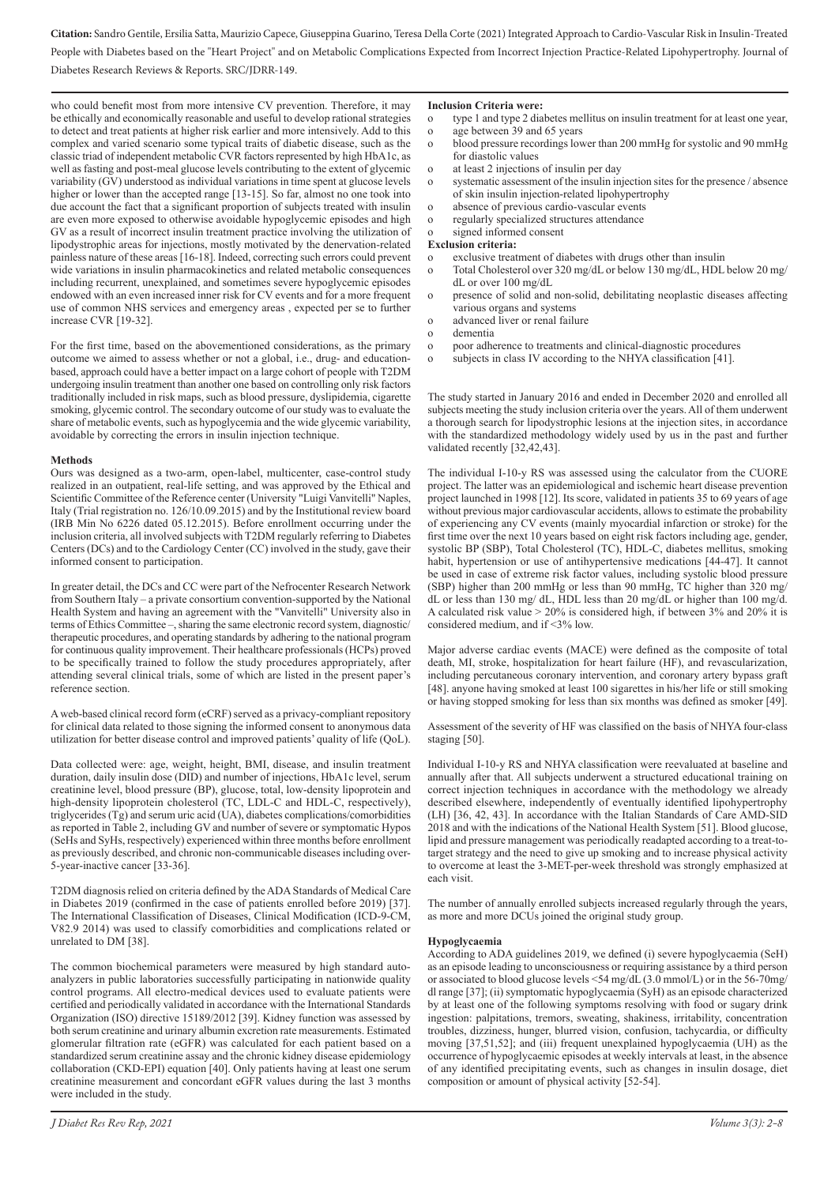who could benefit most from more intensive CV prevention. Therefore, it may be ethically and economically reasonable and useful to develop rational strategies to detect and treat patients at higher risk earlier and more intensively. Add to this complex and varied scenario some typical traits of diabetic disease, such as the classic triad of independent metabolic CVR factors represented by high HbA1c, as well as fasting and post-meal glucose levels contributing to the extent of glycemic variability (GV) understood as individual variations in time spent at glucose levels higher or lower than the accepted range [13-15]. So far, almost no one took into due account the fact that a significant proportion of subjects treated with insulin are even more exposed to otherwise avoidable hypoglycemic episodes and high GV as a result of incorrect insulin treatment practice involving the utilization of lipodystrophic areas for injections, mostly motivated by the denervation-related painless nature of these areas [16-18]. Indeed, correcting such errors could prevent wide variations in insulin pharmacokinetics and related metabolic consequences including recurrent, unexplained, and sometimes severe hypoglycemic episodes endowed with an even increased inner risk for CV events and for a more frequent use of common NHS services and emergency areas , expected per se to further increase CVR [19-32].

For the first time, based on the abovementioned considerations, as the primary outcome we aimed to assess whether or not a global, i.e., drug- and educationbased, approach could have a better impact on a large cohort of people with T2DM undergoing insulin treatment than another one based on controlling only risk factors traditionally included in risk maps, such as blood pressure, dyslipidemia, cigarette smoking, glycemic control. The secondary outcome of our study was to evaluate the share of metabolic events, such as hypoglycemia and the wide glycemic variability, avoidable by correcting the errors in insulin injection technique.

#### **Methods**

Ours was designed as a two-arm, open-label, multicenter, case-control study realized in an outpatient, real-life setting, and was approved by the Ethical and Scientific Committee of the Reference center (University "Luigi Vanvitelli" Naples, Italy (Trial registration no. 126/10.09.2015) and by the Institutional review board (IRB Min No 6226 dated 05.12.2015). Before enrollment occurring under the inclusion criteria, all involved subjects with T2DM regularly referring to Diabetes Centers (DCs) and to the Cardiology Center (CC) involved in the study, gave their informed consent to participation.

In greater detail, the DCs and CC were part of the Nefrocenter Research Network from Southern Italy – a private consortium convention-supported by the National Health System and having an agreement with the "Vanvitelli" University also in terms of Ethics Committee –, sharing the same electronic record system, diagnostic/ therapeutic procedures, and operating standards by adhering to the national program for continuous quality improvement. Their healthcare professionals (HCPs) proved to be specifically trained to follow the study procedures appropriately, after attending several clinical trials, some of which are listed in the present paper's reference section.

A web-based clinical record form (eCRF) served as a privacy-compliant repository for clinical data related to those signing the informed consent to anonymous data utilization for better disease control and improved patients' quality of life (QoL).

Data collected were: age, weight, height, BMI, disease, and insulin treatment duration, daily insulin dose (DID) and number of injections, HbA1c level, serum creatinine level, blood pressure (BP), glucose, total, low-density lipoprotein and high-density lipoprotein cholesterol (TC, LDL-C and HDL-C, respectively), triglycerides (Tg) and serum uric acid (UA), diabetes complications/comorbidities as reported in Table 2, including GV and number of severe or symptomatic Hypos (SeHs and SyHs, respectively) experienced within three months before enrollment as previously described, and chronic non-communicable diseases including over-5-year-inactive cancer [33-36].

T2DM diagnosis relied on criteria defined by the ADA Standards of Medical Care in Diabetes 2019 (confirmed in the case of patients enrolled before 2019) [37]. The International Classification of Diseases, Clinical Modification (ICD-9-CM, V82.9 2014) was used to classify comorbidities and complications related or unrelated to DM [38].

The common biochemical parameters were measured by high standard autoanalyzers in public laboratories successfully participating in nationwide quality control programs. All electro-medical devices used to evaluate patients were certified and periodically validated in accordance with the International Standards Organization (ISO) directive 15189/2012 [39]. Kidney function was assessed by both serum creatinine and urinary albumin excretion rate measurements. Estimated glomerular filtration rate (eGFR) was calculated for each patient based on a standardized serum creatinine assay and the chronic kidney disease epidemiology collaboration (CKD-EPI) equation [40]. Only patients having at least one serum creatinine measurement and concordant eGFR values during the last 3 months were included in the study.

#### **Inclusion Criteria were:**

- o type 1 and type 2 diabetes mellitus on insulin treatment for at least one year,<br>o age between 39 and 65 years
- age between 39 and 65 years
- o blood pressure recordings lower than 200 mmHg for systolic and 90 mmHg for diastolic values
- at least 2 injections of insulin per day
- o systematic assessment of the insulin injection sites for the presence / absence of skin insulin injection-related lipohypertrophy
- o absence of previous cardio-vascular events
- regularly specialized structures attendance
- signed informed consent

#### **Exclusion criteria:**

- o exclusive treatment of diabetes with drugs other than insulin
- o Total Cholesterol over 320 mg/dL or below 130 mg/dL, HDL below 20 mg/ dL or over 100 mg/dL
- o presence of solid and non-solid, debilitating neoplastic diseases affecting various organs and systems
- o advanced liver or renal failure
- o dementia
- o poor adherence to treatments and clinical-diagnostic procedures
- o subjects in class IV according to the NHYA classification [41].

The study started in January 2016 and ended in December 2020 and enrolled all subjects meeting the study inclusion criteria over the years. All of them underwent a thorough search for lipodystrophic lesions at the injection sites, in accordance with the standardized methodology widely used by us in the past and further validated recently [32,42,43].

The individual I-10-y RS was assessed using the calculator from the CUORE project. The latter was an epidemiological and ischemic heart disease prevention project launched in 1998 [12]. Its score, validated in patients 35 to 69 years of age without previous major cardiovascular accidents, allows to estimate the probability of experiencing any CV events (mainly myocardial infarction or stroke) for the first time over the next 10 years based on eight risk factors including age, gender, systolic BP (SBP), Total Cholesterol (TC), HDL-C, diabetes mellitus, smoking habit, hypertension or use of antihypertensive medications [44-47]. It cannot be used in case of extreme risk factor values, including systolic blood pressure (SBP) higher than 200 mmHg or less than 90 mmHg, TC higher than 320 mg/ dL or less than 130 mg/ dL, HDL less than 20 mg/dL or higher than 100 mg/d. A calculated risk value > 20% is considered high, if between 3% and 20% it is considered medium, and if <3% low.

Major adverse cardiac events (MACE) were defined as the composite of total death, MI, stroke, hospitalization for heart failure (HF), and revascularization, including percutaneous coronary intervention, and coronary artery bypass graft [48]. anyone having smoked at least 100 sigarettes in his/her life or still smoking or having stopped smoking for less than six months was defined as smoker [49].

Assessment of the severity of HF was classified on the basis of NHYA four-class staging [50].

Individual I-10-y RS and NHYA classification were reevaluated at baseline and annually after that. All subjects underwent a structured educational training on correct injection techniques in accordance with the methodology we already described elsewhere, independently of eventually identified lipohypertrophy (LH) [36, 42, 43]. In accordance with the Italian Standards of Care AMD-SID 2018 and with the indications of the National Health System [51]. Blood glucose, lipid and pressure management was periodically readapted according to a treat-totarget strategy and the need to give up smoking and to increase physical activity to overcome at least the 3-MET-per-week threshold was strongly emphasized at each visit.

The number of annually enrolled subjects increased regularly through the years, as more and more DCUs joined the original study group.

#### **Hypoglycaemia**

According to ADA guidelines 2019, we defined (i) severe hypoglycaemia (SeH) as an episode leading to unconsciousness or requiring assistance by a third person or associated to blood glucose levels <54 mg/dL  $(3.0 \text{ mmol/L})$  or in the 56-70mg/ dl range [37]; (ii) symptomatic hypoglycaemia (SyH) as an episode characterized by at least one of the following symptoms resolving with food or sugary drink ingestion: palpitations, tremors, sweating, shakiness, irritability, concentration troubles, dizziness, hunger, blurred vision, confusion, tachycardia, or difficulty moving [37,51,52]; and (iii) frequent unexplained hypoglycaemia (UH) as the occurrence of hypoglycaemic episodes at weekly intervals at least, in the absence of any identified precipitating events, such as changes in insulin dosage, diet composition or amount of physical activity [52-54].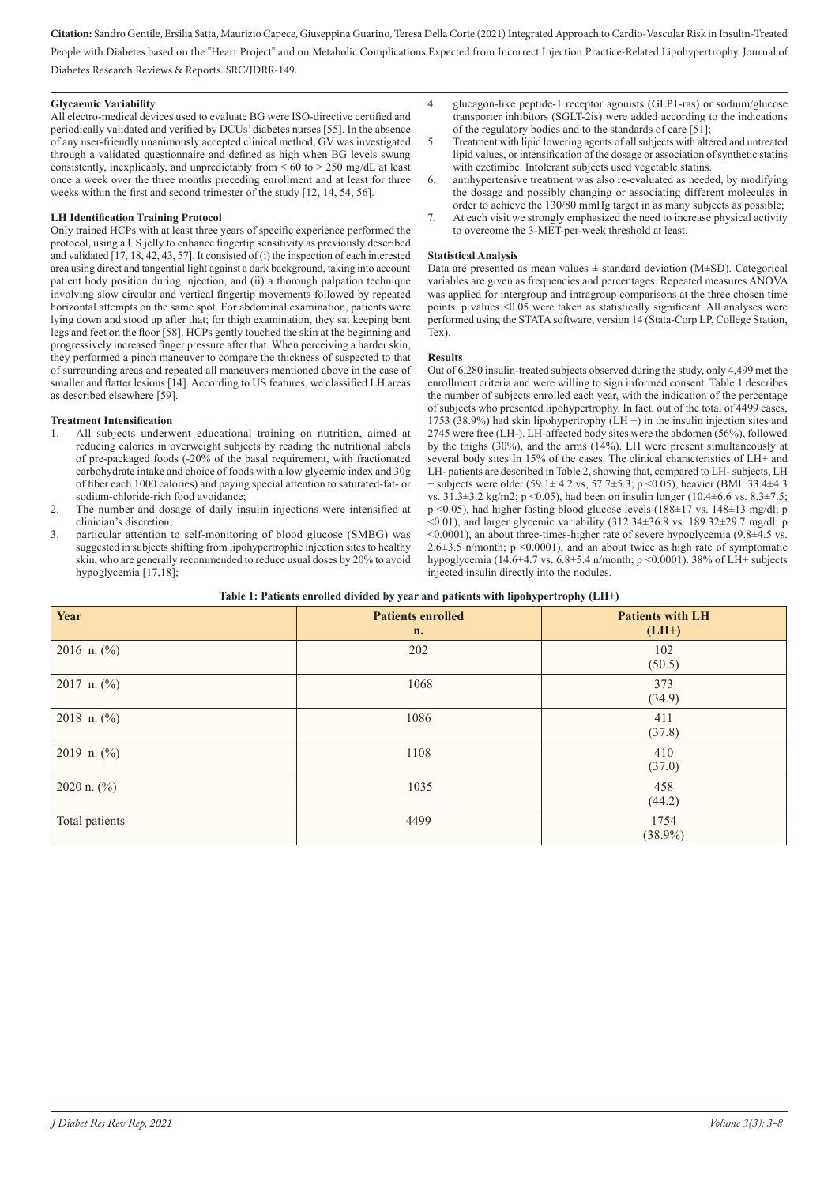#### **Glycaemic Variability**

All electro-medical devices used to evaluate BG were ISO-directive certified and periodically validated and verified by DCUs' diabetes nurses [55]. In the absence of any user-friendly unanimously accepted clinical method, GV was investigated through a validated questionnaire and defined as high when BG levels swung consistently, inexplicably, and unpredictably from  $\leq 60$  to  $> 250$  mg/dL at least once a week over the three months preceding enrollment and at least for three weeks within the first and second trimester of the study [12, 14, 54, 56].

#### **LH Identification Training Protocol**

Only trained HCPs with at least three years of specific experience performed the protocol, using a US jelly to enhance fingertip sensitivity as previously described and validated [17, 18, 42, 43, 57]. It consisted of (i) the inspection of each interested area using direct and tangential light against a dark background, taking into account patient body position during injection, and (ii) a thorough palpation technique involving slow circular and vertical fingertip movements followed by repeated horizontal attempts on the same spot. For abdominal examination, patients were lying down and stood up after that; for thigh examination, they sat keeping bent legs and feet on the floor [58]. HCPs gently touched the skin at the beginning and progressively increased finger pressure after that. When perceiving a harder skin, they performed a pinch maneuver to compare the thickness of suspected to that of surrounding areas and repeated all maneuvers mentioned above in the case of smaller and flatter lesions [14]. According to US features, we classified LH areas as described elsewhere [59].

#### **Treatment Intensification**

- 1. All subjects underwent educational training on nutrition, aimed at reducing calories in overweight subjects by reading the nutritional labels of pre-packaged foods (-20% of the basal requirement, with fractionated carbohydrate intake and choice of foods with a low glycemic index and 30g of fiber each 1000 calories) and paying special attention to saturated-fat- or sodium-chloride-rich food avoidance;
- 2. The number and dosage of daily insulin injections were intensified at clinician's discretion;
- 3. particular attention to self-monitoring of blood glucose (SMBG) was suggested in subjects shifting from lipohypertrophic injection sites to healthy skin, who are generally recommended to reduce usual doses by 20% to avoid hypoglycemia [17,18];
- 4. glucagon-like peptide-1 receptor agonists (GLP1-ras) or sodium/glucose transporter inhibitors (SGLT-2is) were added according to the indications of the regulatory bodies and to the standards of care [51];
- 5. Treatment with lipid lowering agents of all subjects with altered and untreated lipid values, or intensification of the dosage or association of synthetic statins with ezetimibe. Intolerant subjects used vegetable statins.
- 6. antihypertensive treatment was also re-evaluated as needed, by modifying the dosage and possibly changing or associating different molecules in order to achieve the 130/80 mmHg target in as many subjects as possible;
- 7. At each visit we strongly emphasized the need to increase physical activity to overcome the 3-MET-per-week threshold at least.

#### **Statistical Analysis**

Data are presented as mean values  $\pm$  standard deviation (M $\pm$ SD). Categorical variables are given as frequencies and percentages. Repeated measures ANOVA was applied for intergroup and intragroup comparisons at the three chosen time points. p values <0.05 were taken as statistically significant. All analyses were performed using the STATA software, version 14 (Stata-Corp LP, College Station, Tex).

#### **Results**

Out of 6,280 insulin-treated subjects observed during the study, only 4,499 met the enrollment criteria and were willing to sign informed consent. Table 1 describes the number of subjects enrolled each year, with the indication of the percentage of subjects who presented lipohypertrophy. In fact, out of the total of 4499 cases, 1753 (38.9%) had skin lipohypertrophy (LH +) in the insulin injection sites and 2745 were free (LH-). LH-affected body sites were the abdomen (56%), followed by the thighs (30%), and the arms (14%). LH were present simultaneously at several body sites In 15% of the cases. The clinical characteristics of LH+ and LH- patients are described in Table 2, showing that, compared to LH- subjects, LH + subjects were older (59.1± 4.2 vs, 57.7±5.3; p <0.05), heavier (BMI: 33.4±4.3 vs. 31.3±3.2 kg/m2; p <0.05), had been on insulin longer (10.4±6.6 vs. 8.3±7.5; p <0.05), had higher fasting blood glucose levels (188±17 vs. 148±13 mg/dl; p  $\approx$  0.01), and larger glycemic variability (312.34 $\pm$ 36.8 vs. 189.32 $\pm$ 29.7 mg/dl; p <0.0001), an about three-times-higher rate of severe hypoglycemia (9.8±4.5 vs. 2.6±3.5 n/month; p <0.0001), and an about twice as high rate of symptomatic hypoglycemia (14.6±4.7 vs. 6.8±5.4 n/month; p <0.0001). 38% of LH+ subjects injected insulin directly into the nodules.

| Year            | <b>Patients enrolled</b><br>n. | <b>Patients with LH</b><br>$(LH+)$ |
|-----------------|--------------------------------|------------------------------------|
| 2016 n. $(\% )$ | 202                            | 102<br>(50.5)                      |
| 2017 n. $(\%)$  | 1068                           | 373<br>(34.9)                      |
| 2018 n. $(\% )$ | 1086                           | 411<br>(37.8)                      |
| 2019 n. $(\%)$  | 1108                           | 410<br>(37.0)                      |
| 2020 n. $(\% )$ | 1035                           | 458<br>(44.2)                      |
| Total patients  | 4499                           | 1754<br>$(38.9\%)$                 |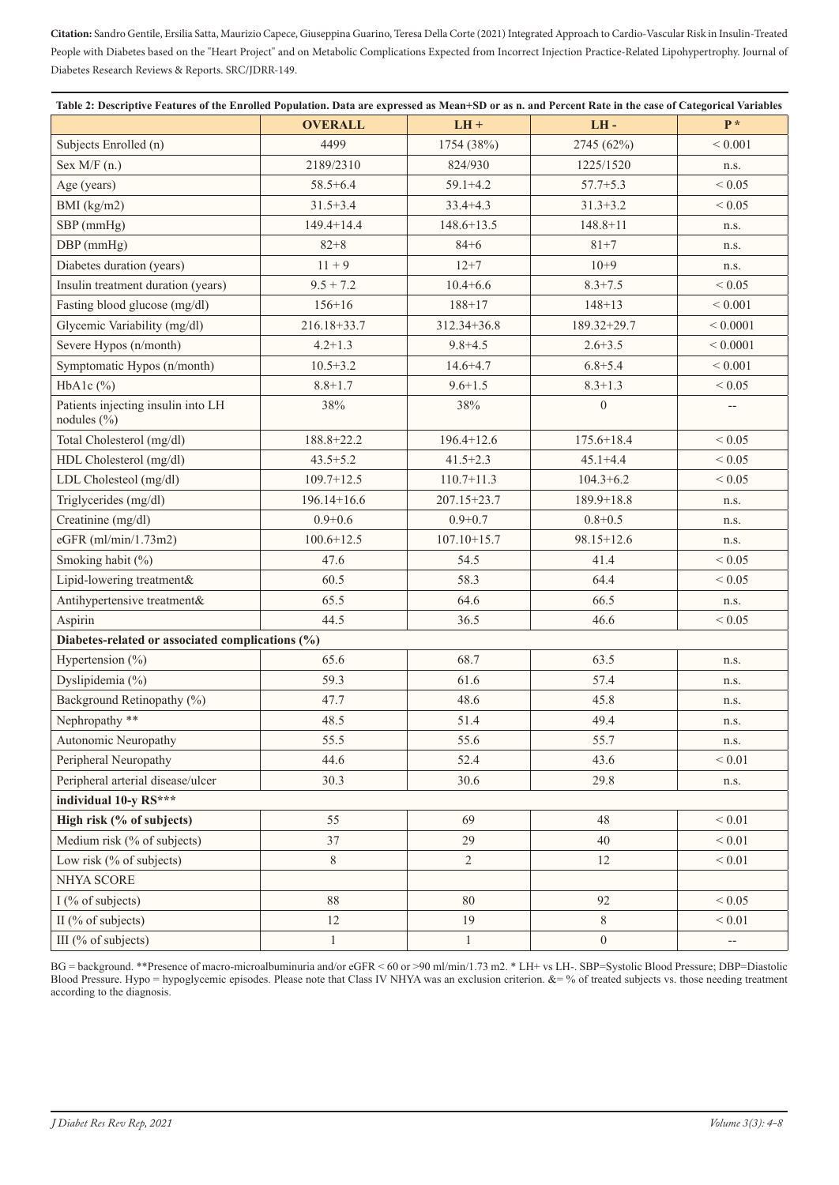| Table 2: Descriptive Features of the Enrolled Population. Data are expressed as Mean+SD or as n. and Percent Rate in the case of Categorical Variables |                 |                 |                  |              |  |
|--------------------------------------------------------------------------------------------------------------------------------------------------------|-----------------|-----------------|------------------|--------------|--|
|                                                                                                                                                        | <b>OVERALL</b>  | $LH +$          | LH-              | $P*$         |  |
| Subjects Enrolled (n)                                                                                                                                  | 4499            | 1754 (38%)      | 2745 (62%)       | ${}< 0.001$  |  |
| Sex $M/F$ (n.)                                                                                                                                         | 2189/2310       | 824/930         | 1225/1520        | n.s.         |  |
| Age (years)                                                                                                                                            | $58.5 + 6.4$    | $59.1 + 4.2$    | $57.7 + 5.3$     | ${}_{0.05}$  |  |
| BMI $(kg/m2)$                                                                                                                                          | $31.5 + 3.4$    | $33.4 + 4.3$    | $31.3 + 3.2$     | ${}< 0.05$   |  |
| SBP (mmHg)                                                                                                                                             | $149.4 + 14.4$  | $148.6 + 13.5$  | $148.8 + 11$     | n.s.         |  |
| DBP (mmHg)                                                                                                                                             | $82 + 8$        | $84 + 6$        | $81 + 7$         | n.s.         |  |
| Diabetes duration (years)                                                                                                                              | $11 + 9$        | $12 + 7$        | $10 + 9$         | n.s.         |  |
| Insulin treatment duration (years)                                                                                                                     | $9.5 + 7.2$     | $10.4 + 6.6$    | $8.3 + 7.5$      | ${}< 0.05$   |  |
| Fasting blood glucose (mg/dl)                                                                                                                          | $156 + 16$      | $188 + 17$      | $148 + 13$       | ${}< 0.001$  |  |
| Glycemic Variability (mg/dl)                                                                                                                           | 216.18+33.7     | 312.34+36.8     | 189.32+29.7      | ${}< 0.0001$ |  |
| Severe Hypos (n/month)                                                                                                                                 | $4.2 + 1.3$     | $9.8 + 4.5$     | $2.6 + 3.5$      | ${}< 0.0001$ |  |
| Symptomatic Hypos (n/month)                                                                                                                            | $10.5 + 3.2$    | $14.6 + 4.7$    | $6.8 + 5.4$      | ${}< 0.001$  |  |
| HbA1c $(\% )$                                                                                                                                          | $8.8 + 1.7$     | $9.6 + 1.5$     | $8.3 + 1.3$      | ${}< 0.05$   |  |
| Patients injecting insulin into LH<br>nodules $(\% )$                                                                                                  | 38%             | 38%             | $\mathbf{0}$     |              |  |
| Total Cholesterol (mg/dl)                                                                                                                              | 188.8+22.2      | $196.4 + 12.6$  | $175.6 + 18.4$   | ${}< 0.05$   |  |
| HDL Cholesterol (mg/dl)                                                                                                                                | $43.5 + 5.2$    | $41.5 + 2.3$    | $45.1 + 4.4$     | ${}< 0.05$   |  |
| LDL Cholesteol (mg/dl)                                                                                                                                 | $109.7 + 12.5$  | $110.7 + 11.3$  | $104.3 + 6.2$    | ${}< 0.05$   |  |
| Triglycerides (mg/dl)                                                                                                                                  | $196.14 + 16.6$ | 207.15+23.7     | $189.9 + 18.8$   | n.s.         |  |
| Creatinine (mg/dl)                                                                                                                                     | $0.9 + 0.6$     | $0.9 + 0.7$     | $0.8 + 0.5$      | n.s.         |  |
| eGFR (ml/min/1.73m2)                                                                                                                                   | $100.6 + 12.5$  | $107.10 + 15.7$ | 98.15+12.6       | n.s.         |  |
| Smoking habit (%)                                                                                                                                      | 47.6            | 54.5            | 41.4             | ${}< 0.05$   |  |
| Lipid-lowering treatment&                                                                                                                              | 60.5            | 58.3            | 64.4             | ${}< 0.05$   |  |
| Antihypertensive treatment&                                                                                                                            | 65.5            | 64.6            | 66.5             | n.s.         |  |
| Aspirin                                                                                                                                                | 44.5            | 36.5            | 46.6             | ${}< 0.05$   |  |
| Diabetes-related or associated complications (%)                                                                                                       |                 |                 |                  |              |  |
| Hypertension $(\% )$                                                                                                                                   | 65.6            | 68.7            | 63.5             | n.s.         |  |
| Dyslipidemia (%)                                                                                                                                       | 59.3            | 61.6            | 57.4             | n.s.         |  |
| Background Retinopathy (%)                                                                                                                             | 47.7            | 48.6            | 45.8             | n.s.         |  |
| Nephropathy **                                                                                                                                         | 48.5            | 51.4            | 49.4             | n.s.         |  |
| Autonomic Neuropathy                                                                                                                                   | 55.5            | 55.6            | 55.7             | n.s.         |  |
| Peripheral Neuropathy                                                                                                                                  | 44.6            | 52.4            | 43.6             | ${}< 0.01$   |  |
| Peripheral arterial disease/ulcer                                                                                                                      | 30.3            | 30.6            | 29.8             | n.s.         |  |
| individual 10-y RS***                                                                                                                                  |                 |                 |                  |              |  |
| High risk (% of subjects)                                                                                                                              | 55              | 69              | 48               | ${}< 0.01$   |  |
| Medium risk (% of subjects)                                                                                                                            | 37              | 29              | 40               | ${}< 0.01$   |  |
| Low risk (% of subjects)                                                                                                                               | $8\,$           | $\overline{2}$  | 12               | ${}_{0.01}$  |  |
| NHYA SCORE                                                                                                                                             |                 |                 |                  |              |  |
| I (% of subjects)                                                                                                                                      | $88\,$          | 80              | 92               | ${}< 0.05$   |  |
| II (% of subjects)                                                                                                                                     | 12              | 19              | 8                | ${}< 0.01$   |  |
| III (% of subjects)                                                                                                                                    | $\mathbf{1}$    | $\mathbf{1}$    | $\boldsymbol{0}$ | --           |  |

BG = background. \*\*Presence of macro-microalbuminuria and/or eGFR < 60 or >90 ml/min/1.73 m2. \* LH+ vs LH-. SBP=Systolic Blood Pressure; DBP=Diastolic Blood Pressure. Hypo = hypoglycemic episodes. Please note that Class IV NHYA was an exclusion criterion. &= % of treated subjects vs. those needing treatment according to the diagnosis.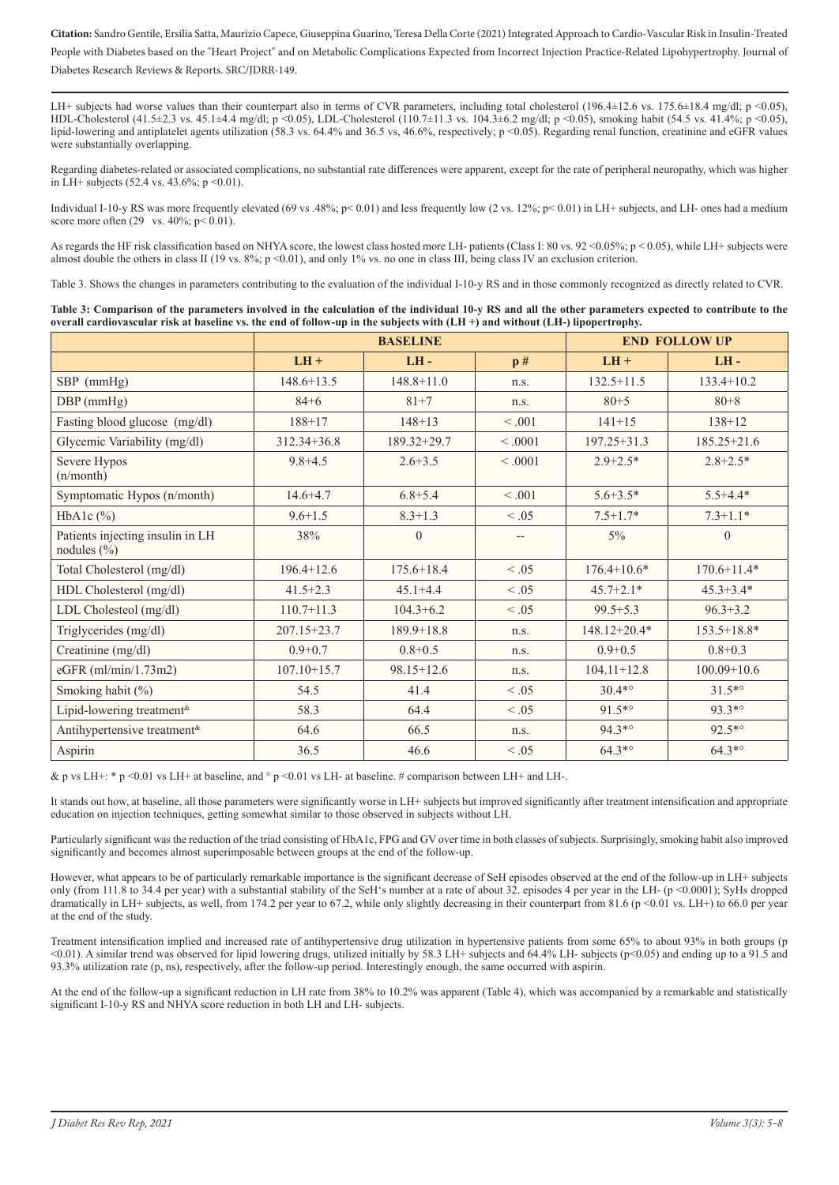LH+ subjects had worse values than their counterpart also in terms of CVR parameters, including total cholesterol (196.4±12.6 vs. 175.6±18.4 mg/dl; p <0.05), HDL-Cholesterol (41.5±2.3 vs. 45.1±4.4 mg/dl; p <0.05), LDL-Cholesterol (110.7±11.3 vs. 104.3±6.2 mg/dl; p <0.05), smoking habit (54.5 vs. 41.4%; p <0.05), lipid-lowering and antiplatelet agents utilization (58.3 vs. 64.4% and 36.5 vs, 46.6%, respectively; p <0.05). Regarding renal function, creatinine and eGFR values were substantially overlapping.

Regarding diabetes-related or associated complications, no substantial rate differences were apparent, except for the rate of peripheral neuropathy, which was higher in LH+ subjects (52.4 vs. 43.6%;  $p \le 0.01$ ).

Individual I-10-y RS was more frequently elevated (69 vs .48%; p< 0.01) and less frequently low (2 vs. 12%; p< 0.01) in LH+ subjects, and LH- ones had a medium score more often  $(29 \text{ vs. } 40\%; \text{ p} < 0.01)$ .

As regards the HF risk classification based on NHYA score, the lowest class hosted more LH- patients (Class I: 80 vs. 92 <0.05%; p < 0.05), while LH+ subjects were almost double the others in class II (19 vs. 8%; p <0.01), and only 1% vs. no one in class III, being class IV an exclusion criterion.

Table 3. Shows the changes in parameters contributing to the evaluation of the individual I-10-y RS and in those commonly recognized as directly related to CVR.

| Table 3: Comparison of the parameters involved in the calculation of the individual 10-y RS and all the other parameters expected to contribute to the |
|--------------------------------------------------------------------------------------------------------------------------------------------------------|
| overall cardiovascular risk at baseline vs. the end of follow-up in the subjects with $(LH+)$ and without $(LH-)$ lipopertrophy.                       |

|                                                     | <b>BASELINE</b> |                |            | <b>END FOLLOW UP</b> |                 |
|-----------------------------------------------------|-----------------|----------------|------------|----------------------|-----------------|
|                                                     | $LH +$          | $LH -$         | p#         | $LH +$               | $LH -$          |
| $SBP$ (mmHg)                                        | $148.6 + 13.5$  | $148.8 + 11.0$ | n.s.       | $132.5 + 11.5$       | $133.4 + 10.2$  |
| $DBP$ (mmHg)                                        | $84 + 6$        | $81 + 7$       | n.s.       | $80 + 5$             | $80 + 8$        |
| Fasting blood glucose (mg/dl)                       | $188 + 17$      | $148 + 13$     | < 0.001    | $141 + 15$           | $138 + 12$      |
| Glycemic Variability (mg/dl)                        | 312.34+36.8     | 189.32+29.7    | < 0.001    | $197.25 + 31.3$      | $185.25 + 21.6$ |
| Severe Hypos<br>(n/month)                           | $9.8 + 4.5$     | $2.6 + 3.5$    | < 0.001    | $2.9 + 2.5*$         | $2.8 + 2.5*$    |
| Symptomatic Hypos (n/month)                         | $14.6 + 4.7$    | $6.8 + 5.4$    | < 0.001    | $5.6 + 3.5*$         | $5.5 + 4.4*$    |
| HbA1c $(\%)$                                        | $9.6 + 1.5$     | $8.3 + 1.3$    | $\leq .05$ | $7.5 + 1.7*$         | $7.3 + 1.1*$    |
| Patients injecting insulin in LH<br>nodules $(\% )$ | 38%             | $\mathbf{0}$   | $-$        | $5\%$                | $\overline{0}$  |
| Total Cholesterol (mg/dl)                           | $196.4 + 12.6$  | $175.6 + 18.4$ | < 0.05     | $176.4 + 10.6*$      | $170.6 + 11.4*$ |
| HDL Cholesterol (mg/dl)                             | $41.5 + 2.3$    | $45.1 + 4.4$   | $\leq .05$ | $45.7 + 2.1*$        | $45.3 + 3.4*$   |
| LDL Cholesteol (mg/dl)                              | $110.7 + 11.3$  | $104.3 + 6.2$  | $\leq .05$ | $99.5 + 5.3$         | $96.3 + 3.2$    |
| Triglycerides (mg/dl)                               | 207.15+23.7     | $189.9 + 18.8$ | n.s.       | 148.12+20.4*         | $153.5 + 18.8*$ |
| Creatinine (mg/dl)                                  | $0.9 + 0.7$     | $0.8 + 0.5$    | n.s.       | $0.9 + 0.5$          | $0.8 + 0.3$     |
| eGFR (ml/min/1.73m2)                                | $107.10 + 15.7$ | 98.15+12.6     | n.s.       | $104.11 + 12.8$      | $100.09 + 10.6$ |
| Smoking habit (%)                                   | 54.5            | 41.4           | $\leq .05$ | $30.4*°$             | $31.5^{*o}$     |
| Lipid-lowering treatment <sup>&amp;</sup>           | 58.3            | 64.4           | < 0.05     | $91.5^{*o}$          | 93.3*°          |
| Antihypertensive treatment <sup>&amp;</sup>         | 64.6            | 66.5           | n.s.       | $94.3^{*o}$          | 92.5*°          |
| Aspirin                                             | 36.5            | 46.6           | $\leq .05$ | $64.3^{*o}$          | $64.3^{*o}$     |

& p vs LH+: \* p <0.01 vs LH+ at baseline, and  $\degree$  p <0.01 vs LH- at baseline. # comparison between LH+ and LH-.

It stands out how, at baseline, all those parameters were significantly worse in LH+ subjects but improved significantly after treatment intensification and appropriate education on injection techniques, getting somewhat similar to those observed in subjects without LH.

Particularly significant was the reduction of the triad consisting of HbA1c, FPG and GV over time in both classes of subjects. Surprisingly, smoking habit also improved significantly and becomes almost superimposable between groups at the end of the follow-up.

However, what appears to be of particularly remarkable importance is the significant decrease of SeH episodes observed at the end of the follow-up in LH+ subjects only (from 111.8 to 34.4 per year) with a substantial stability of the SeH's number at a rate of about 32. episodes 4 per year in the LH- (p <0.0001); SyHs dropped dramatically in LH+ subjects, as well, from 174.2 per year to 67.2, while only slightly decreasing in their counterpart from 81.6 (p <0.01 vs. LH+) to 66.0 per year at the end of the study.

Treatment intensification implied and increased rate of antihypertensive drug utilization in hypertensive patients from some 65% to about 93% in both groups (p <0.01). A similar trend was observed for lipid lowering drugs, utilized initially by 58.3 LH+ subjects and 64.4% LH- subjects (p<0.05) and ending up to a 91.5 and 93.3% utilization rate (p, ns), respectively, after the follow-up period. Interestingly enough, the same occurred with aspirin.

At the end of the follow-up a significant reduction in LH rate from 38% to 10.2% was apparent (Table 4), which was accompanied by a remarkable and statistically significant I-10-y RS and NHYA score reduction in both LH and LH- subjects.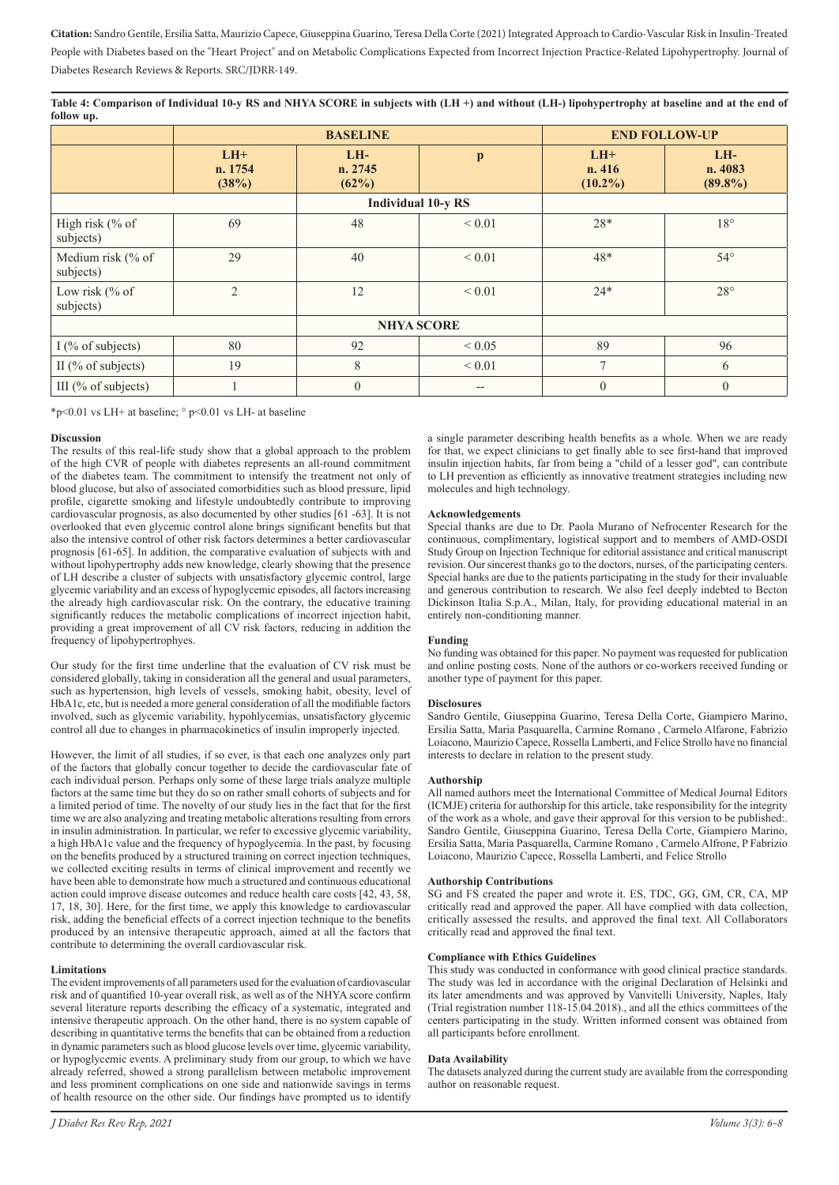**Table 4: Comparison of Individual 10-y RS and NHYA SCORE in subjects with (LH +) and without (LH-) lipohypertrophy at baseline and at the end of follow up.**

|                                | <b>BASELINE</b>           |                         |                           | <b>END FOLLOW-UP</b>          |                                |
|--------------------------------|---------------------------|-------------------------|---------------------------|-------------------------------|--------------------------------|
|                                | $LH+$<br>n. 1754<br>(38%) | LH-<br>n. 2745<br>(62%) | $\mathbf{p}$              | $LH+$<br>n. 416<br>$(10.2\%)$ | $LH-$<br>n. 4083<br>$(89.8\%)$ |
|                                |                           |                         | <b>Individual 10-y RS</b> |                               |                                |
| High risk (% of<br>subjects)   | 69                        | 48                      | ${}_{0.01}$               | $28*$                         | $18^{\circ}$                   |
| Medium risk (% of<br>subjects) | 29                        | 40                      | ${}_{0.01}$               | 48*                           | $54^{\circ}$                   |
| Low risk $%$ Of<br>subjects)   | $\overline{2}$            | 12                      | ${}_{0.01}$               | $24*$                         | $28^{\circ}$                   |
| <b>NHYA SCORE</b>              |                           |                         |                           |                               |                                |
| I (% of subjects)              | 80                        | 92                      | ${}< 0.05$                | 89                            | 96                             |
| II ( $\%$ of subjects)         | 19                        | 8                       | ${}< 0.01$                | $\tau$                        | 6                              |
| III ( $%$ of subjects)         |                           | $\mathbf{0}$            | $\qquad \qquad -$         | $\theta$                      | $\theta$                       |

\*p<0.01 vs LH+ at baseline;  $\degree$  p<0.01 vs LH- at baseline

#### **Discussion**

The results of this real-life study show that a global approach to the problem of the high CVR of people with diabetes represents an all-round commitment of the diabetes team. The commitment to intensify the treatment not only of blood glucose, but also of associated comorbidities such as blood pressure, lipid profile, cigarette smoking and lifestyle undoubtedly contribute to improving cardiovascular prognosis, as also documented by other studies [61 -63]. It is not overlooked that even glycemic control alone brings significant benefits but that also the intensive control of other risk factors determines a better cardiovascular prognosis [61-65]. In addition, the comparative evaluation of subjects with and without lipohypertrophy adds new knowledge, clearly showing that the presence of LH describe a cluster of subjects with unsatisfactory glycemic control, large glycemic variability and an excess of hypoglycemic episodes, all factors increasing the already high cardiovascular risk. On the contrary, the educative training significantly reduces the metabolic complications of incorrect injection habit, providing a great improvement of all CV risk factors, reducing in addition the frequency of lipohypertrophyes.

Our study for the first time underline that the evaluation of CV risk must be considered globally, taking in consideration all the general and usual parameters, such as hypertension, high levels of vessels, smoking habit, obesity, level of HbA1c, etc, but is needed a more general consideration of all the modifiable factors involved, such as glycemic variability, hypohlycemias, unsatisfactory glycemic control all due to changes in pharmacokinetics of insulin improperly injected.

However, the limit of all studies, if so ever, is that each one analyzes only part of the factors that globally concur together to decide the cardiovascular fate of each individual person. Perhaps only some of these large trials analyze multiple factors at the same time but they do so on rather small cohorts of subjects and for a limited period of time. The novelty of our study lies in the fact that for the first time we are also analyzing and treating metabolic alterations resulting from errors in insulin administration. In particular, we refer to excessive glycemic variability, a high HbA1c value and the frequency of hypoglycemia. In the past, by focusing on the benefits produced by a structured training on correct injection techniques, we collected exciting results in terms of clinical improvement and recently we have been able to demonstrate how much a structured and continuous educational action could improve disease outcomes and reduce health care costs [42, 43, 58, 17, 18, 30]. Here, for the first time, we apply this knowledge to cardiovascular risk, adding the beneficial effects of a correct injection technique to the benefits produced by an intensive therapeutic approach, aimed at all the factors that contribute to determining the overall cardiovascular risk.

#### **Limitations**

The evident improvements of all parameters used for the evaluation of cardiovascular risk and of quantified 10-year overall risk, as well as of the NHYA score confirm several literature reports describing the efficacy of a systematic, integrated and intensive therapeutic approach. On the other hand, there is no system capable of describing in quantitative terms the benefits that can be obtained from a reduction in dynamic parameters such as blood glucose levels over time, glycemic variability, or hypoglycemic events. A preliminary study from our group, to which we have already referred, showed a strong parallelism between metabolic improvement and less prominent complications on one side and nationwide savings in terms of health resource on the other side. Our findings have prompted us to identify

a single parameter describing health benefits as a whole. When we are ready for that, we expect clinicians to get finally able to see first-hand that improved insulin injection habits, far from being a "child of a lesser god", can contribute to LH prevention as efficiently as innovative treatment strategies including new molecules and high technology.

#### **Acknowledgements**

Special thanks are due to Dr. Paola Murano of Nefrocenter Research for the continuous, complimentary, logistical support and to members of AMD-OSDI Study Group on Injection Technique for editorial assistance and critical manuscript revision. Our sincerest thanks go to the doctors, nurses, of the participating centers. Special hanks are due to the patients participating in the study for their invaluable and generous contribution to research. We also feel deeply indebted to Becton Dickinson Italia S.p.A., Milan, Italy, for providing educational material in an entirely non-conditioning manner.

#### **Funding**

No funding was obtained for this paper. No payment was requested for publication and online posting costs. None of the authors or co-workers received funding or another type of payment for this paper.

#### **Disclosures**

Sandro Gentile, Giuseppina Guarino, Teresa Della Corte, Giampiero Marino, Ersilia Satta, Maria Pasquarella, Carmine Romano , Carmelo Alfarone, Fabrizio Loiacono, Maurizio Capece, Rossella Lamberti, and Felice Strollo have no financial interests to declare in relation to the present study.

#### **Authorship**

All named authors meet the International Committee of Medical Journal Editors (ICMJE) criteria for authorship for this article, take responsibility for the integrity of the work as a whole, and gave their approval for this version to be published:. Sandro Gentile, Giuseppina Guarino, Teresa Della Corte, Giampiero Marino, Ersilia Satta, Maria Pasquarella, Carmine Romano , Carmelo Alfrone, P Fabrizio Loiacono, Maurizio Capece, Rossella Lamberti, and Felice Strollo

#### **Authorship Contributions**

SG and FS created the paper and wrote it. ES, TDC, GG, GM, CR, CA, MP critically read and approved the paper. All have complied with data collection, critically assessed the results, and approved the final text. All Collaborators critically read and approved the final text.

#### **Compliance with Ethics Guidelines**

This study was conducted in conformance with good clinical practice standards. The study was led in accordance with the original Declaration of Helsinki and its later amendments and was approved by Vanvitelli University, Naples, Italy (Trial registration number 118-15.04.2018)., and all the ethics committees of the centers participating in the study. Written informed consent was obtained from all participants before enrollment.

#### **Data Availability**

The datasets analyzed during the current study are available from the corresponding author on reasonable request.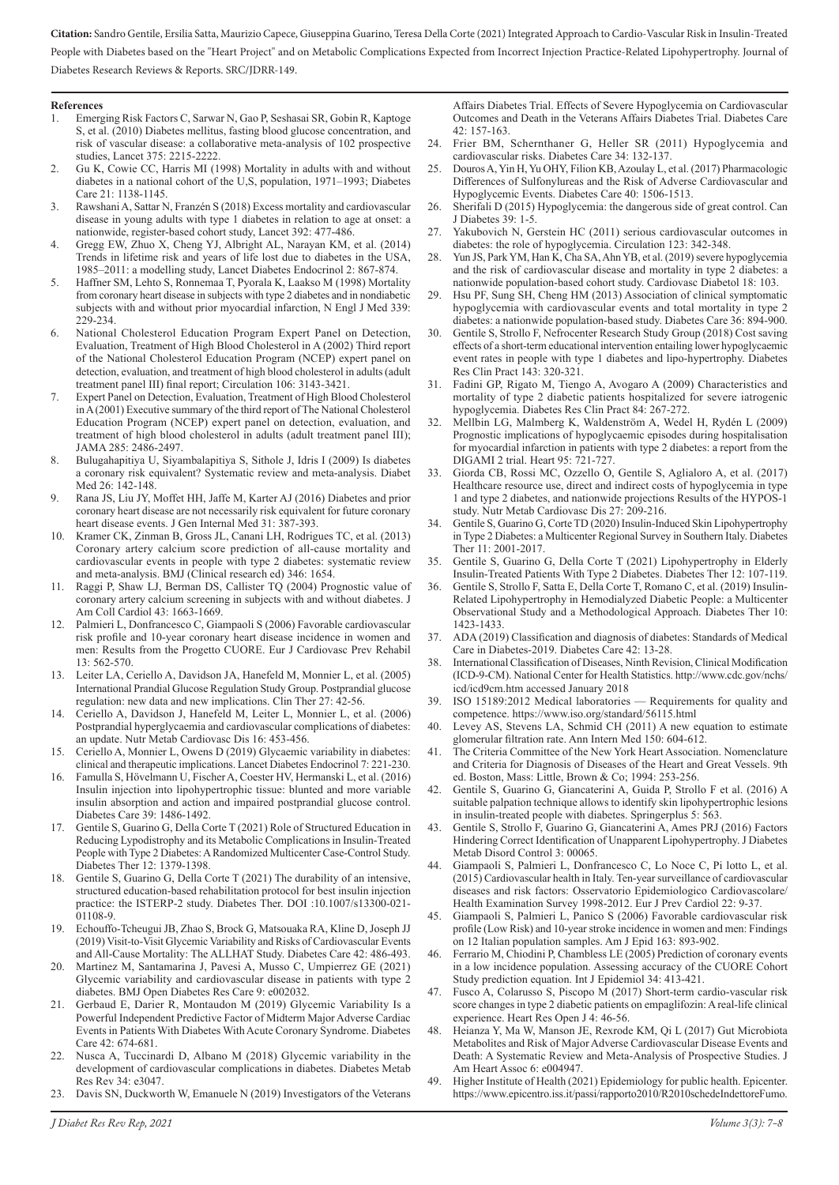### **References**<br>1. Emers

- 1. Emerging Risk Factors C, Sarwar N, Gao P, Seshasai SR, Gobin R, Kaptoge S, et al. (2010) Diabetes mellitus, fasting blood glucose concentration, and risk of vascular disease: a collaborative meta-analysis of 102 prospective studies, Lancet 375: 2215-2222.
- 2. Gu K, Cowie CC, Harris MI (1998) Mortality in adults with and without diabetes in a national cohort of the U,S, population, 1971–1993; Diabetes Care 21: 1138-1145.
- 3. Rawshani A, Sattar N, Franzén S (2018) Excess mortality and cardiovascular disease in young adults with type 1 diabetes in relation to age at onset: a nationwide, register-based cohort study, Lancet 392: 477-486.
- 4. Gregg EW, Zhuo X, Cheng YJ, Albright AL, Narayan KM, et al. (2014) Trends in lifetime risk and years of life lost due to diabetes in the USA, 1985–2011: a modelling study, Lancet Diabetes Endocrinol 2: 867-874.
- 5. Haffner SM, Lehto S, Ronnemaa T, Pyorala K, Laakso M (1998) Mortality from coronary heart disease in subjects with type 2 diabetes and in nondiabetic subjects with and without prior myocardial infarction, N Engl J Med 339: 229-234.
- 6. National Cholesterol Education Program Expert Panel on Detection, Evaluation, Treatment of High Blood Cholesterol in A (2002) Third report of the National Cholesterol Education Program (NCEP) expert panel on detection, evaluation, and treatment of high blood cholesterol in adults (adult treatment panel III) final report; Circulation 106: 3143-3421.
- 7. Expert Panel on Detection, Evaluation, Treatment of High Blood Cholesterol in A (2001) Executive summary of the third report of The National Cholesterol Education Program (NCEP) expert panel on detection, evaluation, and treatment of high blood cholesterol in adults (adult treatment panel III); JAMA 285: 2486-2497.
- 8. Bulugahapitiya U, Siyambalapitiya S, Sithole J, Idris I (2009) Is diabetes a coronary risk equivalent? Systematic review and meta-analysis. Diabet Med 26: 142-148.
- 9. Rana JS, Liu JY, Moffet HH, Jaffe M, Karter AJ (2016) Diabetes and prior coronary heart disease are not necessarily risk equivalent for future coronary heart disease events. J Gen Internal Med 31: 387-393.
- 10. Kramer CK, Zinman B, Gross JL, Canani LH, Rodrigues TC, et al. (2013) Coronary artery calcium score prediction of all-cause mortality and cardiovascular events in people with type 2 diabetes: systematic review and meta-analysis. BMJ (Clinical research ed) 346: 1654.
- 11. Raggi P, Shaw LJ, Berman DS, Callister TQ (2004) Prognostic value of coronary artery calcium screening in subjects with and without diabetes. J Am Coll Cardiol 43: 1663-1669.
- 12. Palmieri L, Donfrancesco C, Giampaoli S (2006) Favorable cardiovascular risk profile and 10-year coronary heart disease incidence in women and men: Results from the Progetto CUORE. Eur J Cardiovasc Prev Rehabil 13: 562-570.
- 13. Leiter LA, Ceriello A, Davidson JA, Hanefeld M, Monnier L, et al. (2005) International Prandial Glucose Regulation Study Group. Postprandial glucose regulation: new data and new implications. Clin Ther 27: 42-56.
- 14. Ceriello A, Davidson J, Hanefeld M, Leiter L, Monnier L, et al. (2006) Postprandial hyperglycaemia and cardiovascular complications of diabetes: an update. Nutr Metab Cardiovasc Dis 16: 453-456.
- 15. Ceriello A, Monnier L, Owens D (2019) Glycaemic variability in diabetes: clinical and therapeutic implications. Lancet Diabetes Endocrinol 7: 221-230.
- 16. Famulla S, Hövelmann U, Fischer A, Coester HV, Hermanski L, et al. (2016) Insulin injection into lipohypertrophic tissue: blunted and more variable insulin absorption and action and impaired postprandial glucose control. Diabetes Care 39: 1486-1492.
- 17. Gentile S, Guarino G, Della Corte T (2021) Role of Structured Education in Reducing Lypodistrophy and its Metabolic Complications in Insulin-Treated People with Type 2 Diabetes: A Randomized Multicenter Case-Control Study. Diabetes Ther 12: 1379-1398.
- 18. Gentile S, Guarino G, Della Corte T (2021) The durability of an intensive, structured education-based rehabilitation protocol for best insulin injection practice: the ISTERP-2 study. Diabetes Ther. DOI :10.1007/s13300-021- 01108-9.
- 19. Echouffo-Tcheugui JB, Zhao S, Brock G, Matsouaka RA, Kline D, Joseph JJ (2019) Visit-to-Visit Glycemic Variability and Risks of Cardiovascular Events and All-Cause Mortality: The ALLHAT Study. Diabetes Care 42: 486-493.
- 20. Martinez M, Santamarina J, Pavesi A, Musso C, Umpierrez GE (2021) Glycemic variability and cardiovascular disease in patients with type 2 diabetes. BMJ Open Diabetes Res Care 9: e002032.
- 21. Gerbaud E, Darier R, Montaudon M (2019) Glycemic Variability Is a Powerful Independent Predictive Factor of Midterm Major Adverse Cardiac Events in Patients With Diabetes With Acute Coronary Syndrome. Diabetes Care 42: 674-681.
- 22. Nusca A, Tuccinardi D, Albano M (2018) Glycemic variability in the development of cardiovascular complications in diabetes. Diabetes Metab Res Rev 34: e3047.
- 23. Davis SN, Duckworth W, Emanuele N (2019) Investigators of the Veterans

Affairs Diabetes Trial. Effects of Severe Hypoglycemia on Cardiovascular Outcomes and Death in the Veterans Affairs Diabetes Trial. Diabetes Care 42: 157-163.

- 24. Frier BM, Schernthaner G, Heller SR (2011) Hypoglycemia and cardiovascular risks. Diabetes Care 34: 132-137.
- 25. Douros A, Yin H, Yu OHY, Filion KB, Azoulay L, et al. (2017) Pharmacologic Differences of Sulfonylureas and the Risk of Adverse Cardiovascular and Hypoglycemic Events. Diabetes Care 40: 1506-1513.
- 26. Sherifali D (2015) Hypoglycemia: the dangerous side of great control. Can J Diabetes 39: 1-5.
- 27. Yakubovich N, Gerstein HC (2011) serious cardiovascular outcomes in diabetes: the role of hypoglycemia. Circulation 123: 342-348.
- 28. Yun JS, Park YM, Han K, Cha SA, Ahn YB, et al. (2019) severe hypoglycemia and the risk of cardiovascular disease and mortality in type 2 diabetes: a nationwide population-based cohort study. Cardiovasc Diabetol 18: 103.
- Hsu PF, Sung SH, Cheng HM (2013) Association of clinical symptomatic hypoglycemia with cardiovascular events and total mortality in type 2 diabetes: a nationwide population-based study. Diabetes Care 36: 894-900.
- 30. Gentile S, Strollo F, Nefrocenter Research Study Group (2018) Cost saving effects of a short-term educational intervention entailing lower hypoglycaemic event rates in people with type 1 diabetes and lipo-hypertrophy. Diabetes Res Clin Pract 143: 320-321.
- 31. Fadini GP, Rigato M, Tiengo A, Avogaro A (2009) Characteristics and mortality of type 2 diabetic patients hospitalized for severe iatrogenic hypoglycemia. Diabetes Res Clin Pract 84: 267-272.
- 32. Mellbin LG, Malmberg K, Waldenström A, Wedel H, Rydén L (2009) Prognostic implications of hypoglycaemic episodes during hospitalisation for myocardial infarction in patients with type 2 diabetes: a report from the DIGAMI 2 trial. Heart 95: 721-727.
- 33. Giorda CB, Rossi MC, Ozzello O, Gentile S, Aglialoro A, et al. (2017) Healthcare resource use, direct and indirect costs of hypoglycemia in type 1 and type 2 diabetes, and nationwide projections Results of the HYPOS-1 study. Nutr Metab Cardiovasc Dis 27: 209-216.
- 34. Gentile S, Guarino G, Corte TD (2020) Insulin-Induced Skin Lipohypertrophy in Type 2 Diabetes: a Multicenter Regional Survey in Southern Italy. Diabetes Ther 11: 2001-2017.
- 35. Gentile S, Guarino G, Della Corte T (2021) Lipohypertrophy in Elderly Insulin-Treated Patients With Type 2 Diabetes. Diabetes Ther 12: 107-119.
- 36. Gentile S, Strollo F, Satta E, Della Corte T, Romano C, et al. (2019) Insulin-Related Lipohypertrophy in Hemodialyzed Diabetic People: a Multicenter Observational Study and a Methodological Approach. Diabetes Ther 10: 1423-1433.
- 37. ADA (2019) Classification and diagnosis of diabetes: Standards of Medical Care in Diabetes-2019. Diabetes Care 42: 13-28.
- 38. International Classification of Diseases, Ninth Revision, Clinical Modification (ICD-9-CM). National Center for Health Statistics. http://www.cdc.gov/nchs/ icd/icd9cm.htm accessed January 2018
- 39. ISO 15189:2012 Medical laboratories Requirements for quality and competence. https://www.iso.org/standard/56115.html
- 40. Levey AS, Stevens LA, Schmid CH (2011) A new equation to estimate glomerular filtration rate. Ann Intern Med 150: 604-612.
- 41. The Criteria Committee of the New York Heart Association. Nomenclature and Criteria for Diagnosis of Diseases of the Heart and Great Vessels. 9th ed. Boston, Mass: Little, Brown & Co; 1994: 253-256.
- 42. Gentile S, Guarino G, Giancaterini A, Guida P, Strollo F et al. (2016) A suitable palpation technique allows to identify skin lipohypertrophic lesions in insulin-treated people with diabetes. Springerplus 5: 563.
- 43. Gentile S, Strollo F, Guarino G, Giancaterini A, Ames PRJ (2016) Factors Hindering Correct Identification of Unapparent Lipohypertrophy. J Diabetes Metab Disord Control 3: 00065.
- 44. Giampaoli S, Palmieri L, Donfrancesco C, Lo Noce C, Pi lotto L, et al. (2015) Cardiovascular health in Italy. Ten-year surveillance of cardiovascular diseases and risk factors: Osservatorio Epidemiologico Cardiovascolare/ Health Examination Survey 1998-2012. Eur J Prev Cardiol 22: 9-37.
- 45. Giampaoli S, Palmieri L, Panico S (2006) Favorable cardiovascular risk profile (Low Risk) and 10-year stroke incidence in women and men: Findings on 12 Italian population samples. Am J Epid 163: 893-902.
- Ferrario M, Chiodini P, Chambless LE (2005) Prediction of coronary events in a low incidence population. Assessing accuracy of the CUORE Cohort Study prediction equation. Int J Epidemiol 34: 413-421.
- Fusco A, Colarusso S, Piscopo M (2017) Short-term cardio-vascular risk score changes in type 2 diabetic patients on empaglifozin: A real-life clinical experience. Heart Res Open J 4: 46-56.
- 48. Heianza Y, Ma W, Manson JE, Rexrode KM, Qi L (2017) Gut Microbiota Metabolites and Risk of Major Adverse Cardiovascular Disease Events and Death: A Systematic Review and Meta-Analysis of Prospective Studies. J Am Heart Assoc 6: e004947.
- 49. Higher Institute of Health (2021) Epidemiology for public health. Epicenter. https://www.epicentro.iss.it/passi/rapporto2010/R2010schedeIndettoreFumo.